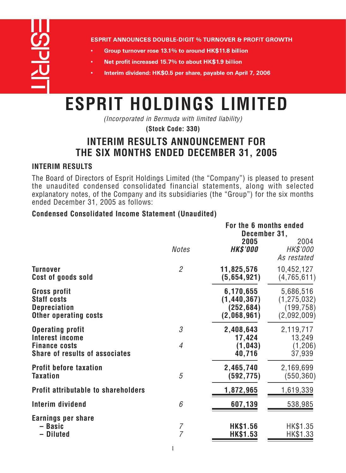<u>COPTIL</u>

**ESPRIT ANNOUNCES DOUBLE-DIGIT % TURNOVER & PROFIT GROWTH** 

- Group turnover rose 13.1% to around HK\$11.8 billion
- Net profit increased 15.7% to about HK\$1.9 billion
- Interim dividend: HK\$0.5 per share, payable on April 7, 2006

# **ESPRIT HOLDINGS LIMITED**

*(Incorporated in Bermuda with limited liability)*

**(Stock Code: 330)**

# **INTERIM RESULTS ANNOUNCEMENT FOR THE SIX MONTHS ENDED DECEMBER 31, 2005**

# **INTERIM RESULTS**

*The Board of Directors of Esprit Holdings Limited (the "Company") is pleased to present the unaudited condensed consolidated financial statements, along with selected explanatory notes, of the Company and its subsidiaries (the "Group") for the six months ended December 31, 2005 as follows:*

# **Condensed Consolidated Income Statement (Unaudited)**

|                                                                                                             | For the 6 months ended<br>December 31, |                                                         |                                                         |
|-------------------------------------------------------------------------------------------------------------|----------------------------------------|---------------------------------------------------------|---------------------------------------------------------|
|                                                                                                             | <b>Notes</b>                           | 2005<br><b>HK\$'000</b>                                 | 2004<br>HK\$'000<br>As restated                         |
| <b>Turnover</b><br>Cost of goods sold                                                                       | $\overline{2}$                         | 11,825,576<br>(5,654,921)                               | 10,452,127<br>(4,765,611)                               |
| <b>Gross profit</b><br><b>Staff costs</b><br><b>Depreciation</b><br><b>Other operating costs</b>            |                                        | 6,170,655<br>(1, 440, 367)<br>(252, 684)<br>(2,068,961) | 5,686,516<br>(1, 275, 032)<br>(199, 758)<br>(2,092,009) |
| <b>Operating profit</b><br>Interest income<br><b>Finance costs</b><br><b>Share of results of associates</b> | 3<br>$\overline{4}$                    | 2,408,643<br>17,424<br>(1, 043)<br>40,716               | 2,119,717<br>13,249<br>(1,206)<br>37,939                |
| <b>Profit before taxation</b><br><b>Taxation</b>                                                            | 5                                      | 2,465,740<br>(592,775)                                  | 2,169,699<br>(550, 360)                                 |
| <b>Profit attributable to shareholders</b>                                                                  |                                        | 1,872,965                                               | 1,619,339                                               |
| Interim dividend                                                                                            | 6                                      | 607,139                                                 | 538,985                                                 |
| Earnings per share<br>- Basic<br><b>Diluted</b>                                                             | $\overline{7}$<br>$\overline{7}$       | <b>HK\$1.56</b><br><b>HK\$1.53</b>                      | HK\$1.35<br>HK\$1.33                                    |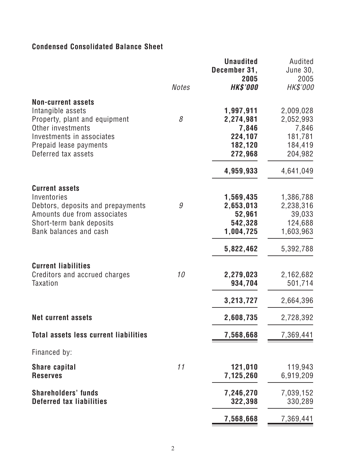# **Condensed Consolidated Balance Sheet**

|                                                                                                                                                                                    |              | <b>Unaudited</b><br>December 31,<br>2005                              | Audited<br><b>June 30,</b><br>2005                                    |
|------------------------------------------------------------------------------------------------------------------------------------------------------------------------------------|--------------|-----------------------------------------------------------------------|-----------------------------------------------------------------------|
|                                                                                                                                                                                    | <b>Notes</b> | <b>HK\$'000</b>                                                       | <b>HK\$'000</b>                                                       |
| <b>Non-current assets</b><br>Intangible assets<br>Property, plant and equipment<br>Other investments<br>Investments in associates<br>Prepaid lease payments<br>Deferred tax assets | 8            | 1,997,911<br>2,274,981<br>7,846<br>224,107<br>182,120<br>272,968      | 2,009,028<br>2,052,993<br>7,846<br>181,781<br>184,419<br>204,982      |
|                                                                                                                                                                                    |              | 4,959,933                                                             | 4,641,049                                                             |
| <b>Current assets</b><br>Inventories<br>Debtors, deposits and prepayments<br>Amounts due from associates<br>Short-term bank deposits<br>Bank balances and cash                     | 9            | 1,569,435<br>2,653,013<br>52,961<br>542,328<br>1,004,725<br>5,822,462 | 1,386,788<br>2,238,316<br>39,033<br>124,688<br>1,603,963<br>5,392,788 |
| <b>Current liabilities</b><br>Creditors and accrued charges<br><b>Taxation</b>                                                                                                     | 10           | 2,279,023<br>934,704                                                  | 2,162,682<br>501,714                                                  |
|                                                                                                                                                                                    |              | 3,213,727                                                             | 2,664,396                                                             |
| <b>Net current assets</b>                                                                                                                                                          |              | 2,608,735                                                             | 2,728,392                                                             |
| <b>Total assets less current liabilities</b>                                                                                                                                       |              | 7,568,668                                                             | 7,369,441                                                             |
| Financed by:                                                                                                                                                                       |              |                                                                       |                                                                       |
| <b>Share capital</b><br><b>Reserves</b>                                                                                                                                            | 11           | 121,010<br>7,125,260                                                  | 119,943<br>6,919,209                                                  |
| <b>Shareholders' funds</b><br><b>Deferred tax liabilities</b>                                                                                                                      |              | 7,246,270<br>322,398                                                  | 7,039,152<br>330,289                                                  |
|                                                                                                                                                                                    |              | 7,568,668                                                             | 7,369,441                                                             |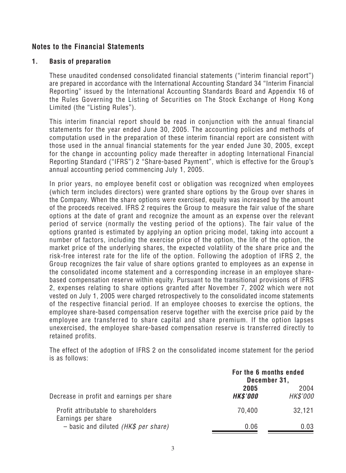# **Notes to the Financial Statements**

#### **1. Basis of preparation**

*These unaudited condensed consolidated financial statements ("interim financial report") are prepared in accordance with the International Accounting Standard 34 "Interim Financial Reporting" issued by the International Accounting Standards Board and Appendix 16 of the Rules Governing the Listing of Securities on The Stock Exchange of Hong Kong Limited (the "Listing Rules").*

*This interim financial report should be read in conjunction with the annual financial statements for the year ended June 30, 2005. The accounting policies and methods of computation used in the preparation of these interim financial report are consistent with those used in the annual financial statements for the year ended June 30, 2005, except for the change in accounting policy made thereafter in adopting International Financial Reporting Standard ("IFRS") 2 "Share-based Payment", which is effective for the Group's annual accounting period commencing July 1, 2005.*

*In prior years, no employee benefit cost or obligation was recognized when employees (which term includes directors) were granted share options by the Group over shares in the Company. When the share options were exercised, equity was increased by the amount of the proceeds received. IFRS 2 requires the Group to measure the fair value of the share options at the date of grant and recognize the amount as an expense over the relevant period of service (normally the vesting period of the options). The fair value of the options granted is estimated by applying an option pricing model, taking into account a number of factors, including the exercise price of the option, the life of the option, the market price of the underlying shares, the expected volatility of the share price and the risk-free interest rate for the life of the option. Following the adoption of IFRS 2, the Group recognizes the fair value of share options granted to employees as an expense in the consolidated income statement and a corresponding increase in an employee sharebased compensation reserve within equity. Pursuant to the transitional provisions of IFRS 2, expenses relating to share options granted after November 7, 2002 which were not vested on July 1, 2005 were charged retrospectively to the consolidated income statements of the respective financial period. If an employee chooses to exercise the options, the employee share-based compensation reserve together with the exercise price paid by the employee are transferred to share capital and share premium. If the option lapses unexercised, the employee share-based compensation reserve is transferred directly to retained profits.*

*The effect of the adoption of IFRS 2 on the consolidated income statement for the period is as follows:*

|                                                           | For the 6 months ended<br>December 31, |                  |
|-----------------------------------------------------------|----------------------------------------|------------------|
| Decrease in profit and earnings per share                 | 2005<br><b>HK\$'000</b>                | 2004<br>HK\$'000 |
| Profit attributable to shareholders<br>Earnings per share | 70,400                                 | 32,121           |
| - basic and diluted ( $HK$$ per share)                    | 0.06                                   | 0.03             |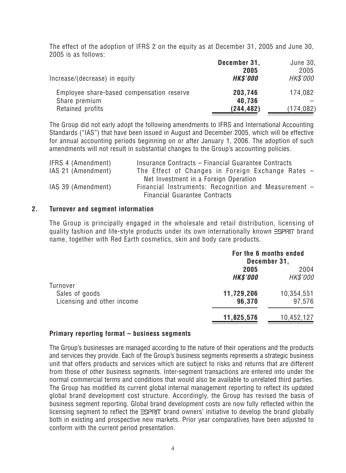*The effect of the adoption of IFRS 2 on the equity as at December 31, 2005 and June 30, 2005 is as follows:*

|                                           | December 31,    | June 30,   |
|-------------------------------------------|-----------------|------------|
|                                           | 2005            | 2005       |
| Increase/(decrease) in equity             | <b>HK\$'000</b> | HK\$'000   |
| Employee share-based compensation reserve | 203,746         | 174,082    |
| Share premium                             | 40,736          |            |
| Retained profits                          | (244, 482)      | (174, 082) |

*The Group did not early adopt the following amendments to IFRS and International Accounting Standards ("IAS") that have been issued in August and December 2005, which will be effective for annual accounting periods beginning on or after January 1, 2006. The adoption of such amendments will not result in substantial changes to the Group's accounting policies.*

| IFRS 4 (Amendment) | Insurance Contracts - Financial Guarantee Contracts  |
|--------------------|------------------------------------------------------|
| IAS 21 (Amendment) | The Effect of Changes in Foreign Exchange Rates $-$  |
|                    | Net Investment in a Foreign Operation                |
| IAS 39 (Amendment) | Financial Instruments: Recognition and Measurement - |
|                    | Financial Guarantee Contracts                        |

#### **2. Turnover and segment information**

*The Group is principally engaged in the wholesale and retail distribution, licensing of* guality fashion and life-style products under its own internationally known **ESPRT** brand *name, together with Red Earth cosmetics, skin and body care products.*

|                                                          | For the 6 months ended<br>December 31, |                      |
|----------------------------------------------------------|----------------------------------------|----------------------|
|                                                          | 2005                                   | 2004                 |
|                                                          | <b>HK\$'000</b>                        | HK\$'000             |
| Turnover<br>Sales of goods<br>Licensing and other income | 11,729,206<br>96,370                   | 10,354,551<br>97,576 |
|                                                          |                                        |                      |
|                                                          | 11,825,576                             | 10,452,127           |

#### **Primary reporting format – business segments**

*The Group's businesses are managed according to the nature of their operations and the products and services they provide. Each of the Group's business segments represents a strategic business unit that offers products and services which are subject to risks and returns that are different from those of other business segments. Inter-segment transactions are entered into under the normal commercial terms and conditions that would also be available to unrelated third parties. The Group has modified its current global internal management reporting to reflect its updated global brand development cost structure. Accordingly, the Group has revised the basis of business segment reporting. Global brand development costs are now fully reflected within the licensing segment to reflect the ESPRT brand owners' initiative to develop the brand globally both in existing and prospective new markets. Prior year comparatives have been adjusted to conform with the current period presentation.*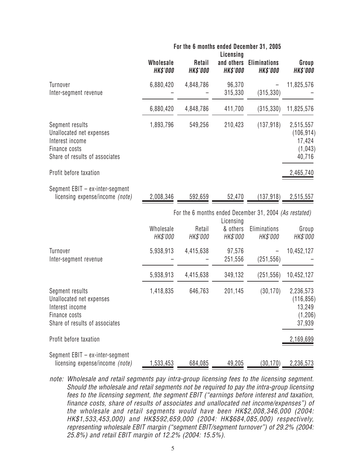|                                                                                                                   | For the 6 months ended December 31, 2005<br>Licensing |                                  |                               |                                                               |                                                        |
|-------------------------------------------------------------------------------------------------------------------|-------------------------------------------------------|----------------------------------|-------------------------------|---------------------------------------------------------------|--------------------------------------------------------|
|                                                                                                                   | <b>Wholesale</b><br><b>HK\$'000</b>                   | <b>Retail</b><br><b>HK\$'000</b> | and others<br><b>HK\$'000</b> | <b>Eliminations</b><br><b>HK\$'000</b>                        | Group<br><b>HK\$'000</b>                               |
| Turnover<br>Inter-segment revenue                                                                                 | 6,880,420                                             | 4,848,786                        | 96,370<br>315,330             | (315, 330)                                                    | 11,825,576                                             |
|                                                                                                                   | 6,880,420                                             | 4,848,786                        | 411,700                       | (315, 330)                                                    | 11,825,576                                             |
| Segment results<br>Unallocated net expenses<br>Interest income<br>Finance costs<br>Share of results of associates | 1,893,796                                             | 549,256                          | 210,423                       | (137, 918)                                                    | 2,515,557<br>(106, 914)<br>17,424<br>(1,043)<br>40,716 |
| Profit before taxation                                                                                            |                                                       |                                  |                               |                                                               | 2,465,740                                              |
| Segment EBIT - ex-inter-segment<br>licensing expense/income (note)                                                | 2,008,346                                             | 592,659                          | 52,470                        | (137, 918)                                                    | 2,515,557                                              |
|                                                                                                                   |                                                       |                                  | Licensing                     | For the 6 months ended December 31, 2004 <i>(As restated)</i> |                                                        |
|                                                                                                                   | Wholesale<br><i>HK\$'000</i>                          | Retail<br>HK\$'000               | & others<br><i>HK\$'000</i>   | Eliminations<br>HK\$'000                                      | Group<br>HK\$'000                                      |
| Turnover<br>Inter-segment revenue                                                                                 | 5,938,913                                             | 4,415,638                        | 97,576<br>251,556             | (251, 556)                                                    | 10,452,127                                             |
|                                                                                                                   | 5,938,913                                             | 4,415,638                        | 349,132                       | (251, 556)                                                    | 10,452,127                                             |
| Segment results<br>Unallocated net expenses<br>Interest income<br>Finance costs<br>Share of results of associates | 1,418,835                                             | 646,763                          | 201,145                       | (30, 170)                                                     | 2,236,573<br>(116, 856)<br>13,249<br>(1,206)<br>37,939 |
| Profit before taxation                                                                                            |                                                       |                                  |                               |                                                               | 2,169,699                                              |
| Segment EBIT - ex-inter-segment<br>licensing expense/income (note)                                                | 1,533,453                                             | 684,085                          | 49,205                        | (30, 170)                                                     | 2,236,573                                              |

*note: Wholesale and retail segments pay intra-group licensing fees to the licensing segment. Should the wholesale and retail segments not be required to pay the intra-group licensing fees to the licensing segment, the segment EBIT ("earnings before interest and taxation, finance costs, share of results of associates and unallocated net income/expenses") of the wholesale and retail segments would have been HK\$2,008,346,000 (2004: HK\$1,533,453,000) and HK\$592,659,000 (2004: HK\$684,085,000) respectively, representing wholesale EBIT margin ("segment EBIT/segment turnover") of 29.2% (2004: 25.8%) and retail EBIT margin of 12.2% (2004: 15.5%).*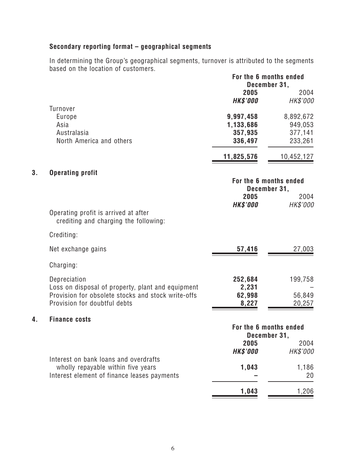# **Secondary reporting format – geographical segments**

**4. Finance costs**

*In determining the Group's geographical segments, turnover is attributed to the segments based on the location of customers.* **For the 6 months ended**

|    |                                                                                                                                                         | For the 6 months ended<br>December 31,<br>2005 | 2004                                       |
|----|---------------------------------------------------------------------------------------------------------------------------------------------------------|------------------------------------------------|--------------------------------------------|
|    |                                                                                                                                                         | <b>HK\$'000</b>                                | HK\$'000                                   |
|    | <b>Turnover</b><br>Europe<br>Asia<br>Australasia<br>North America and others                                                                            | 9,997,458<br>1,133,686<br>357,935<br>336,497   | 8,892,672<br>949,053<br>377,141<br>233,261 |
|    |                                                                                                                                                         | 11,825,576                                     | 10,452,127                                 |
| 3. | <b>Operating profit</b>                                                                                                                                 | For the 6 months ended<br>December 31,<br>2005 | 2004                                       |
|    | Operating profit is arrived at after<br>crediting and charging the following:                                                                           | <b>HK\$'000</b>                                | HK\$'000                                   |
|    | Crediting:                                                                                                                                              |                                                |                                            |
|    | Net exchange gains                                                                                                                                      | 57,416                                         | 27,003                                     |
|    | Charging:                                                                                                                                               |                                                |                                            |
|    | Depreciation<br>Loss on disposal of property, plant and equipment<br>Provision for obsolete stocks and stock write-offs<br>Provision for doubtful debts | 252,684<br>2,231<br>62,998<br>8,227            | 199,758<br>56,849<br>20,257                |
| 4. | <b>Finance costs</b>                                                                                                                                    |                                                |                                            |
|    |                                                                                                                                                         | For the 6 months ended<br>December 31,         |                                            |
|    |                                                                                                                                                         | 2005<br><b>HK\$'000</b>                        | 2004<br>HK\$'000                           |
|    | Interest on bank loans and overdrafts<br>wholly repayable within five years<br>Interest element of finance leases payments                              | 1,043                                          | 1,186<br>20                                |
|    |                                                                                                                                                         | 1,043                                          | 1,206                                      |
|    |                                                                                                                                                         |                                                |                                            |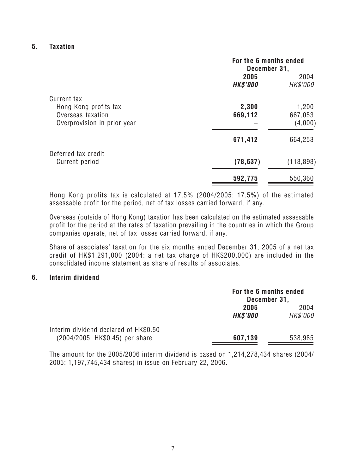#### **5. Taxation**

|                             | For the 6 months ended<br>December 31, |            |
|-----------------------------|----------------------------------------|------------|
|                             | 2005                                   | 2004       |
|                             | <b>HK\$'000</b>                        | HK\$'000   |
| Current tax                 |                                        |            |
| Hong Kong profits tax       | 2,300                                  | 1,200      |
| Overseas taxation           | 669,112                                | 667,053    |
| Overprovision in prior year |                                        | (4,000)    |
|                             | 671,412                                | 664,253    |
| Deferred tax credit         |                                        |            |
| Current period              | (78, 637)                              | (113, 893) |
|                             | 592,775                                | 550,360    |

*Hong Kong profits tax is calculated at 17.5% (2004/2005: 17.5%) of the estimated assessable profit for the period, net of tax losses carried forward, if any.*

*Overseas (outside of Hong Kong) taxation has been calculated on the estimated assessable profit for the period at the rates of taxation prevailing in the countries in which the Group companies operate, net of tax losses carried forward, if any.*

*Share of associates' taxation for the six months ended December 31, 2005 of a net tax credit of HK\$1,291,000 (2004: a net tax charge of HK\$200,000) are included in the consolidated income statement as share of results of associates.*

#### **6. Interim dividend**

|                                                                          | For the 6 months ended<br>December 31, |                  |
|--------------------------------------------------------------------------|----------------------------------------|------------------|
|                                                                          | 2005<br><b>HK\$'000</b>                | 2004<br>HK\$'000 |
| Interim dividend declared of HK\$0.50<br>(2004/2005: HK\$0.45) per share | 607,139                                | 538,985          |

*The amount for the 2005/2006 interim dividend is based on 1,214,278,434 shares (2004/ 2005: 1,197,745,434 shares) in issue on February 22, 2006.*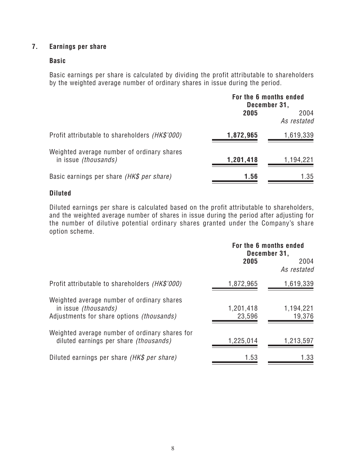## **7. Earnings per share**

#### **Basic**

*Basic earnings per share is calculated by dividing the profit attributable to shareholders by the weighted average number of ordinary shares in issue during the period.*

|                                                                           | For the 6 months ended<br>December 31, |                     |
|---------------------------------------------------------------------------|----------------------------------------|---------------------|
|                                                                           | 2005                                   | 2004<br>As restated |
| Profit attributable to shareholders <i>(HK\$'000)</i>                     | 1,872,965                              | 1,619,339           |
| Weighted average number of ordinary shares<br>in issue <i>(thousands)</i> | 1,201,418                              | 1,194,221           |
| Basic earnings per share (HK\$ per share)                                 | 1.56                                   | 1.35                |

#### **Diluted**

*Diluted earnings per share is calculated based on the profit attributable to shareholders, and the weighted average number of shares in issue during the period after adjusting for the number of dilutive potential ordinary shares granted under the Company's share option scheme.*

|                                                                                                                               | For the 6 months ended<br>December 31, |                     |
|-------------------------------------------------------------------------------------------------------------------------------|----------------------------------------|---------------------|
|                                                                                                                               | 2005                                   | 2004<br>As restated |
| Profit attributable to shareholders <i>(HK\$'000)</i>                                                                         | 1,872,965                              | 1,619,339           |
| Weighted average number of ordinary shares<br>in issue <i>(thousands)</i><br>Adjustments for share options <i>(thousands)</i> | 1,201,418<br>23,596                    | 1,194,221<br>19,376 |
| Weighted average number of ordinary shares for<br>diluted earnings per share <i>(thousands)</i>                               | 1,225,014                              | 1,213,597           |
| Diluted earnings per share (HK\$ per share)                                                                                   | 1.53                                   | 1.33                |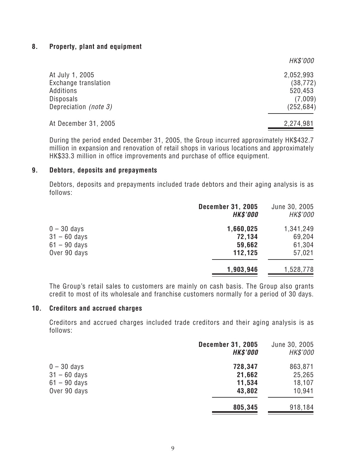#### **8. Property, plant and equipment**

|                                                                                                   | HK\$'000                                                   |
|---------------------------------------------------------------------------------------------------|------------------------------------------------------------|
| At July 1, 2005<br>Exchange translation<br>Additions<br><b>Disposals</b><br>Depreciation (note 3) | 2,052,993<br>(38, 772)<br>520,453<br>(7,009)<br>(252, 684) |
| At December 31, 2005                                                                              | 2,274,981                                                  |

*During the period ended December 31, 2005, the Group incurred approximately HK\$432.7 million in expansion and renovation of retail shops in various locations and approximately HK\$33.3 million in office improvements and purchase of office equipment.*

#### **9. Debtors, deposits and prepayments**

*Debtors, deposits and prepayments included trade debtors and their aging analysis is as follows:*

|                | <b>December 31, 2005</b><br><b>HK\$'000</b> | June 30, 2005<br>HK\$'000 |
|----------------|---------------------------------------------|---------------------------|
| $0 - 30$ days  | 1,660,025                                   | 1,341,249                 |
| $31 - 60$ days | 72,134                                      | 69,204                    |
| $61 - 90$ days | 59,662                                      | 61,304                    |
| Over 90 days   | 112,125                                     | 57,021                    |
|                | 1,903,946                                   | 1,528,778                 |

*The Group's retail sales to customers are mainly on cash basis. The Group also grants credit to most of its wholesale and franchise customers normally for a period of 30 days.*

#### **10. Creditors and accrued charges**

*Creditors and accrued charges included trade creditors and their aging analysis is as follows:*

|                                 | <b>December 31, 2005</b><br><b>HK\$'000</b> | June 30, 2005<br><b>HK\$'000</b> |
|---------------------------------|---------------------------------------------|----------------------------------|
| $0 - 30$ days<br>$31 - 60$ days | 728,347<br>21,662                           | 863,871<br>25,265                |
| $61 - 90$ days                  | 11,534                                      | 18,107                           |
| Over 90 days                    | 43,802                                      | 10,941                           |
|                                 | 805,345                                     | 918,184                          |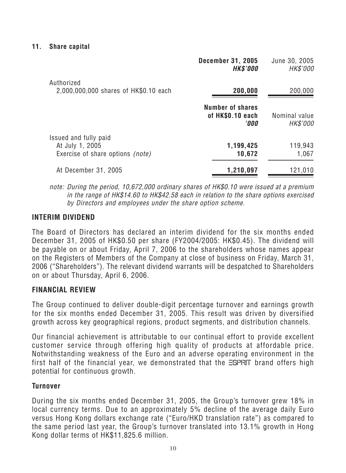|                                                                                     | <b>December 31, 2005</b><br><b>HK\$'000</b>                | June 30, 2005<br>HK\$'000        |
|-------------------------------------------------------------------------------------|------------------------------------------------------------|----------------------------------|
| Authorized<br>2,000,000,000 shares of HK\$0.10 each                                 | 200,000                                                    | 200,000                          |
|                                                                                     | <b>Number of shares</b><br>of HK\$0.10 each<br><b>'000</b> | Nominal value<br><b>HK\$'000</b> |
| Issued and fully paid<br>At July 1, 2005<br>Exercise of share options <i>(note)</i> | 1,199,425<br>10,672                                        | 119,943<br>1,067                 |
| At December 31, 2005                                                                | 1,210,097                                                  | 121,010                          |

*note: During the period, 10,672,000 ordinary shares of HK\$0.10 were issued at a premium in the range of HK\$14.60 to HK\$42.58 each in relation to the share options exercised by Directors and employees under the share option scheme.*

# **INTERIM DIVIDEND**

*The Board of Directors has declared an interim dividend for the six months ended December 31, 2005 of HK\$0.50 per share (FY2004/2005: HK\$0.45). The dividend will be payable on or about Friday, April 7, 2006 to the shareholders whose names appear on the Registers of Members of the Company at close of business on Friday, March 31, 2006 ("Shareholders"). The relevant dividend warrants will be despatched to Shareholders on or about Thursday, April 6, 2006.*

# **FINANCIAL REVIEW**

*The Group continued to deliver double-digit percentage turnover and earnings growth for the six months ended December 31, 2005. This result was driven by diversified growth across key geographical regions, product segments, and distribution channels.*

*Our financial achievement is attributable to our continual effort to provide excellent customer service through offering high quality of products at affordable price. Notwithstanding weakness of the Euro and an adverse operating environment in the first half of the financial year, we demonstrated that the ESPRIT brand offers high potential for continuous growth.*

# **Turnover**

*During the six months ended December 31, 2005, the Group's turnover grew 18% in local currency terms. Due to an approximately 5% decline of the average daily Euro versus Hong Kong dollars exchange rate ("Euro/HKD translation rate") as compared to the same period last year, the Group's turnover translated into 13.1% growth in Hong Kong dollar terms of HK\$11,825.6 million.*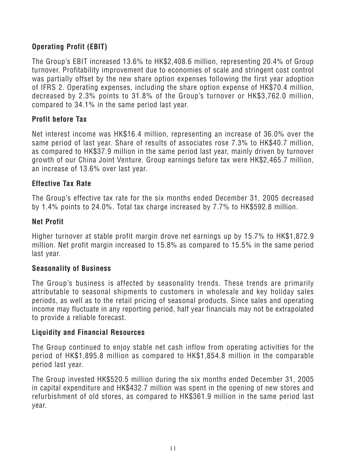# **Operating Profit (EBIT)**

*The Group's EBIT increased 13.6% to HK\$2,408.6 million, representing 20.4% of Group turnover. Profitability improvement due to economies of scale and stringent cost control was partially offset by the new share option expenses following the first year adoption of IFRS 2. Operating expenses, including the share option expense of HK\$70.4 million, decreased by 2.3% points to 31.8% of the Group's turnover or HK\$3,762.0 million, compared to 34.1% in the same period last year.*

## **Profit before Tax**

*Net interest income was HK\$16.4 million, representing an increase of 36.0% over the same period of last year. Share of results of associates rose 7.3% to HK\$40.7 million, as compared to HK\$37.9 million in the same period last year, mainly driven by turnover growth of our China Joint Venture. Group earnings before tax were HK\$2,465.7 million, an increase of 13.6% over last year.*

#### **Effective Tax Rate**

*The Group's effective tax rate for the six months ended December 31, 2005 decreased by 1.4% points to 24.0%. Total tax charge increased by 7.7% to HK\$592.8 million.*

#### **Net Profit**

*Higher turnover at stable profit margin drove net earnings up by 15.7% to HK\$1,872.9 million. Net profit margin increased to 15.8% as compared to 15.5% in the same period last year.*

#### **Seasonality of Business**

*The Group's business is affected by seasonality trends. These trends are primarily attributable to seasonal shipments to customers in wholesale and key holiday sales periods, as well as to the retail pricing of seasonal products. Since sales and operating income may fluctuate in any reporting period, half year financials may not be extrapolated to provide a reliable forecast.*

#### **Liquidity and Financial Resources**

*The Group continued to enjoy stable net cash inflow from operating activities for the period of HK\$1,895.8 million as compared to HK\$1,854.8 million in the comparable period last year.*

*The Group invested HK\$520.5 million during the six months ended December 31, 2005 in capital expenditure and HK\$432.7 million was spent in the opening of new stores and refurbishment of old stores, as compared to HK\$361.9 million in the same period last year.*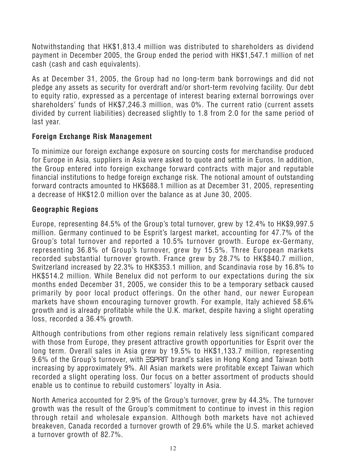*Notwithstanding that HK\$1,813.4 million was distributed to shareholders as dividend payment in December 2005, the Group ended the period with HK\$1,547.1 million of net cash (cash and cash equivalents).*

*As at December 31, 2005, the Group had no long-term bank borrowings and did not pledge any assets as security for overdraft and/or short-term revolving facility. Our debt to equity ratio, expressed as a percentage of interest bearing external borrowings over shareholders' funds of HK\$7,246.3 million, was 0%. The current ratio (current assets divided by current liabilities) decreased slightly to 1.8 from 2.0 for the same period of last year.*

# **Foreign Exchange Risk Management**

*To minimize our foreign exchange exposure on sourcing costs for merchandise produced for Europe in Asia, suppliers in Asia were asked to quote and settle in Euros. In addition, the Group entered into foreign exchange forward contracts with major and reputable financial institutions to hedge foreign exchange risk. The notional amount of outstanding forward contracts amounted to HK\$688.1 million as at December 31, 2005, representing a decrease of HK\$12.0 million over the balance as at June 30, 2005.*

# **Geographic Regions**

*Europe, representing 84.5% of the Group's total turnover, grew by 12.4% to HK\$9,997.5 million. Germany continued to be Esprit's largest market, accounting for 47.7% of the Group's total turnover and reported a 10.5% turnover growth. Europe ex-Germany, representing 36.8% of Group's turnover, grew by 15.5%. Three European markets recorded substantial turnover growth. France grew by 28.7% to HK\$840.7 million, Switzerland increased by 22.3% to HK\$353.1 million, and Scandinavia rose by 16.8% to HK\$514.2 million. While Benelux did not perform to our expectations during the six months ended December 31, 2005, we consider this to be a temporary setback caused primarily by poor local product offerings. On the other hand, our newer European markets have shown encouraging turnover growth. For example, Italy achieved 58.6% growth and is already profitable while the U.K. market, despite having a slight operating loss, recorded a 36.4% growth.*

*Although contributions from other regions remain relatively less significant compared with those from Europe, they present attractive growth opportunities for Esprit over the long term. Overall sales in Asia grew by 19.5% to HK\$1,133.7 million, representing* 9.6% of the Group's turnover, with **ESPRIT** brand's sales in Hong Kong and Taiwan both *increasing by approximately 9%. All Asian markets were profitable except Taiwan which recorded a slight operating loss. Our focus on a better assortment of products should enable us to continue to rebuild customers' loyalty in Asia.*

*North America accounted for 2.9% of the Group's turnover, grew by 44.3%. The turnover growth was the result of the Group's commitment to continue to invest in this region through retail and wholesale expansion. Although both markets have not achieved breakeven, Canada recorded a turnover growth of 29.6% while the U.S. market achieved a turnover growth of 82.7%.*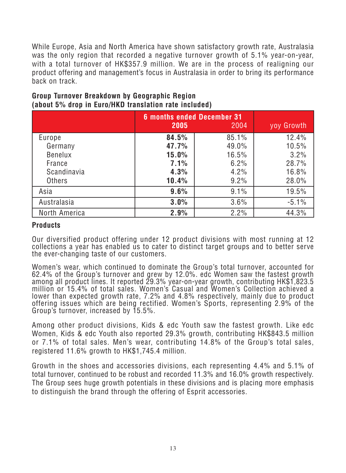*While Europe, Asia and North America have shown satisfactory growth rate, Australasia was the only region that recorded a negative turnover growth of 5.1% year-on-year, with a total turnover of HK\$357.9 million. We are in the process of realigning our product offering and management's focus in Australasia in order to bring its performance back on track.*

|                | <b>6 months ended December 31</b><br>2005 | 2004  | yoy Growth |
|----------------|-------------------------------------------|-------|------------|
| Europe         | 84.5%                                     | 85.1% | 12.4%      |
| Germany        | 47.7%                                     | 49.0% | 10.5%      |
| <b>Benelux</b> | 15.0%                                     | 16.5% | 3.2%       |
| France         | 7.1%                                      | 6.2%  | 28.7%      |
| Scandinavia    | 4.3%                                      | 4.2%  | 16.8%      |
| <b>Others</b>  | 10.4%                                     | 9.2%  | 28.0%      |
| Asia           | 9.6%                                      | 9.1%  | 19.5%      |
| Australasia    | 3.0%                                      | 3.6%  | $-5.1%$    |
| North America  | 2.9%                                      | 2.2%  | 44.3%      |

# **Group Turnover Breakdown by Geographic Region (about 5% drop in Euro/HKD translation rate included)**

#### **Products**

*Our diversified product offering under 12 product divisions with most running at 12 collections a year has enabled us to cater to distinct target groups and to better serve the ever-changing taste of our customers.*

*Women's wear, which continued to dominate the Group's total turnover, accounted for 62.4% of the Group's turnover and grew by 12.0%. edc Women saw the fastest growth among all product lines. It reported 29.3% year-on-year growth, contributing HK\$1,823.5 million or 15.4% of total sales. Women's Casual and Women's Collection achieved a lower than expected growth rate, 7.2% and 4.8% respectively, mainly due to product offering issues which are being rectified. Women's Sports, representing 2.9% of the Group's turnover, increased by 15.5%.*

*Among other product divisions, Kids & edc Youth saw the fastest growth. Like edc Women, Kids & edc Youth also reported 29.3% growth, contributing HK\$843.5 million or 7.1% of total sales. Men's wear, contributing 14.8% of the Group's total sales, registered 11.6% growth to HK\$1,745.4 million.*

*Growth in the shoes and accessories divisions, each representing 4.4% and 5.1% of total turnover, continued to be robust and recorded 11.3% and 16.0% growth respectively. The Group sees huge growth potentials in these divisions and is placing more emphasis to distinguish the brand through the offering of Esprit accessories.*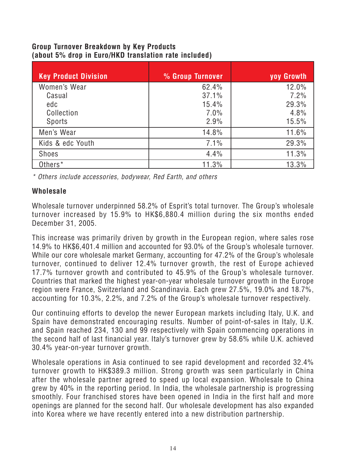# **Group Turnover Breakdown by Key Products (about 5% drop in Euro/HKD translation rate included)**

| <b>Key Product Division</b> | % Group Turnover | yoy Growth |
|-----------------------------|------------------|------------|
| Women's Wear                | 62.4%            | 12.0%      |
| Casual                      | 37.1%            | 7.2%       |
| edc                         | 15.4%            | 29.3%      |
| Collection                  | 7.0%             | 4.8%       |
| Sports                      | 2.9%             | 15.5%      |
| Men's Wear                  | 14.8%            | 11.6%      |
| Kids & edc Youth            | 7.1%             | 29.3%      |
| <b>Shoes</b>                | 4.4%             | 11.3%      |
| Others <sup>*</sup>         | 11.3%            | 13.3%      |

*\* Others include accessories, bodywear, Red Earth, and others*

# **Wholesale**

*Wholesale turnover underpinned 58.2% of Esprit's total turnover. The Group's wholesale turnover increased by 15.9% to HK\$6,880.4 million during the six months ended December 31, 2005.*

*This increase was primarily driven by growth in the European region, where sales rose 14.9% to HK\$6,401.4 million and accounted for 93.0% of the Group's wholesale turnover. While our core wholesale market Germany, accounting for 47.2% of the Group's wholesale turnover, continued to deliver 12.4% turnover growth, the rest of Europe achieved 17.7% turnover growth and contributed to 45.9% of the Group's wholesale turnover. Countries that marked the highest year-on-year wholesale turnover growth in the Europe region were France, Switzerland and Scandinavia. Each grew 27.5%, 19.0% and 18.7%, accounting for 10.3%, 2.2%, and 7.2% of the Group's wholesale turnover respectively.*

*Our continuing efforts to develop the newer European markets including Italy, U.K. and Spain have demonstrated encouraging results. Number of point-of-sales in Italy, U.K. and Spain reached 234, 130 and 99 respectively with Spain commencing operations in the second half of last financial year. Italy's turnover grew by 58.6% while U.K. achieved 30.4% year-on-year turnover growth.*

*Wholesale operations in Asia continued to see rapid development and recorded 32.4% turnover growth to HK\$389.3 million. Strong growth was seen particularly in China after the wholesale partner agreed to speed up local expansion. Wholesale to China grew by 40% in the reporting period. In India, the wholesale partnership is progressing smoothly. Four franchised stores have been opened in India in the first half and more openings are planned for the second half. Our wholesale development has also expanded into Korea where we have recently entered into a new distribution partnership.*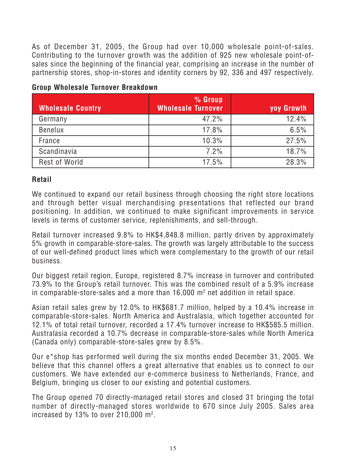*As of December 31, 2005, the Group had over 10,000 wholesale point-of-sales. Contributing to the turnover growth was the addition of 925 new wholesale point-ofsales since the beginning of the financial year, comprising an increase in the number of partnership stores, shop-in-stores and identity corners by 92, 336 and 497 respectively.*

# **Group Wholesale Turnover Breakdown**

| <b>Wholesale Country</b> | % Group<br><b>Wholesale Turnover</b> | yoy Growth |
|--------------------------|--------------------------------------|------------|
| Germany                  | 47.2%                                | 12.4%      |
| <b>Benelux</b>           | 17.8%                                | 6.5%       |
| France                   | 10.3%                                | 27.5%      |
| Scandinavia              | 7.2%                                 | 18.7%      |
| <b>Rest of World</b>     | 17.5%                                | 28.3%      |

# **Retail**

*We continued to expand our retail business through choosing the right store locations and through better visual merchandising presentations that reflected our brand positioning. In addition, we continued to make significant improvements in service levels in terms of customer service, replenishments, and sell-through.*

*Retail turnover increased 9.8% to HK\$4,848.8 million, partly driven by approximately 5% growth in comparable-store-sales. The growth was largely attributable to the success of our well-defined product lines which were complementary to the growth of our retail business.*

*Our biggest retail region, Europe, registered 8.7% increase in turnover and contributed 73.9% to the Group's retail turnover. This was the combined result of a 5.9% increase in comparable-store-sales and a more than 16,000 m2 net addition in retail space.*

*Asian retail sales grew by 12.0% to HK\$681.7 million, helped by a 10.4% increase in comparable-store-sales. North America and Australasia, which together accounted for 12.1% of total retail turnover, recorded a 17.4% turnover increase to HK\$585.5 million. Australasia recorded a 10.7% decrease in comparable-store-sales while North America (Canada only) comparable-store-sales grew by 8.5%.*

*Our e\*shop has performed well during the six months ended December 31, 2005. We believe that this channel offers a great alternative that enables us to connect to our customers. We have extended our e-commerce business to Netherlands, France, and Belgium, bringing us closer to our existing and potential customers.*

*The Group opened 70 directly-managed retail stores and closed 31 bringing the total number of directly-managed stores worldwide to 670 since July 2005. Sales area increased by 13% to over 210,000 m2 .*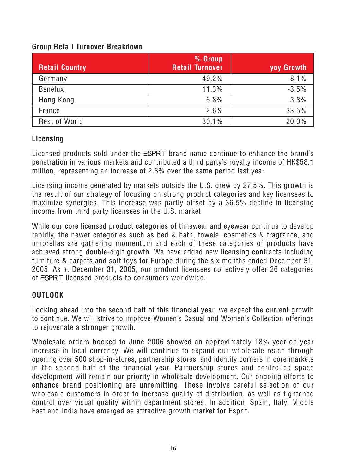# **Group Retail Turnover Breakdown**

| <b>Retail Country</b> | % Group<br><b>Retail Turnover</b> | yoy Growth |
|-----------------------|-----------------------------------|------------|
| Germany               | 49.2%                             | 8.1%       |
| <b>Benelux</b>        | 11.3%                             | $-3.5%$    |
| Hong Kong             | 6.8%                              | 3.8%       |
| France                | 2.6%                              | 33.5%      |
| Rest of World         | 30.1%                             | 20.0%      |

# **Licensing**

Licensed products sold under the **ESPRIT** brand name continue to enhance the brand's *penetration in various markets and contributed a third party's royalty income of HK\$58.1 million, representing an increase of 2.8% over the same period last year.*

*Licensing income generated by markets outside the U.S. grew by 27.5%. This growth is the result of our strategy of focusing on strong product categories and key licensees to maximize synergies. This increase was partly offset by a 36.5% decline in licensing income from third party licensees in the U.S. market.*

*While our core licensed product categories of timewear and eyewear continue to develop rapidly, the newer categories such as bed & bath, towels, cosmetics & fragrance, and umbrellas are gathering momentum and each of these categories of products have achieved strong double-digit growth. We have added new licensing contracts including furniture & carpets and soft toys for Europe during the six months ended December 31, 2005. As at December 31, 2005, our product licensees collectively offer 26 categories of licensed products to consumers worldwide.*

# **OUTLOOK**

*Looking ahead into the second half of this financial year, we expect the current growth to continue. We will strive to improve Women's Casual and Women's Collection offerings to rejuvenate a stronger growth.*

*Wholesale orders booked to June 2006 showed an approximately 18% year-on-year increase in local currency. We will continue to expand our wholesale reach through opening over 500 shop-in-stores, partnership stores, and identity corners in core markets in the second half of the financial year. Partnership stores and controlled space development will remain our priority in wholesale development. Our ongoing efforts to enhance brand positioning are unremitting. These involve careful selection of our wholesale customers in order to increase quality of distribution, as well as tightened control over visual quality within department stores. In addition, Spain, Italy, Middle East and India have emerged as attractive growth market for Esprit.*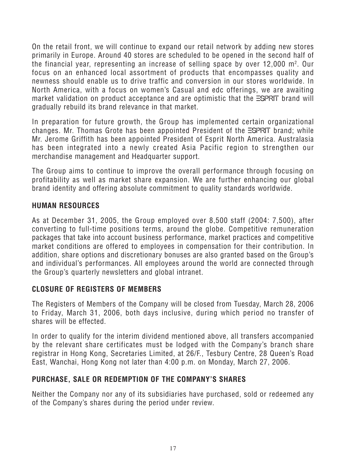*On the retail front, we will continue to expand our retail network by adding new stores primarily in Europe. Around 40 stores are scheduled to be opened in the second half of the financial year, representing an increase of selling space by over 12,000 m2 . Our focus on an enhanced local assortment of products that encompasses quality and newness should enable us to drive traffic and conversion in our stores worldwide. In North America, with a focus on women's Casual and edc offerings, we are awaiting market validation on product acceptance and are optimistic that the ESPRIT brand will gradually rebuild its brand relevance in that market.*

*In preparation for future growth, the Group has implemented certain organizational* changes. Mr. Thomas Grote has been appointed President of the **ESPRIT** brand; while *Mr. Jerome Griffith has been appointed President of Esprit North America. Australasia has been integrated into a newly created Asia Pacific region to strengthen our merchandise management and Headquarter support.*

*The Group aims to continue to improve the overall performance through focusing on profitability as well as market share expansion. We are further enhancing our global brand identity and offering absolute commitment to quality standards worldwide.*

# **HUMAN RESOURCES**

*As at December 31, 2005, the Group employed over 8,500 staff (2004: 7,500), after converting to full-time positions terms, around the globe. Competitive remuneration packages that take into account business performance, market practices and competitive market conditions are offered to employees in compensation for their contribution. In addition, share options and discretionary bonuses are also granted based on the Group's and individual's performances. All employees around the world are connected through the Group's quarterly newsletters and global intranet.*

# **CLOSURE OF REGISTERS OF MEMBERS**

*The Registers of Members of the Company will be closed from Tuesday, March 28, 2006 to Friday, March 31, 2006, both days inclusive, during which period no transfer of shares will be effected.*

*In order to qualify for the interim dividend mentioned above, all transfers accompanied by the relevant share certificates must be lodged with the Company's branch share registrar in Hong Kong, Secretaries Limited, at 26/F., Tesbury Centre, 28 Queen's Road East, Wanchai, Hong Kong not later than 4:00 p.m. on Monday, March 27, 2006.*

# **PURCHASE, SALE OR REDEMPTION OF THE COMPANY'S SHARES**

*Neither the Company nor any of its subsidiaries have purchased, sold or redeemed any of the Company's shares during the period under review.*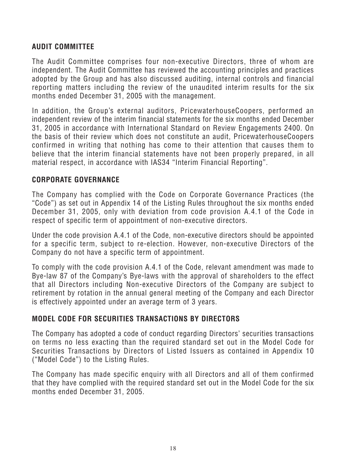# **AUDIT COMMITTEE**

*The Audit Committee comprises four non-executive Directors, three of whom are independent. The Audit Committee has reviewed the accounting principles and practices adopted by the Group and has also discussed auditing, internal controls and financial reporting matters including the review of the unaudited interim results for the six months ended December 31, 2005 with the management.*

*In addition, the Group's external auditors, PricewaterhouseCoopers, performed an independent review of the interim financial statements for the six months ended December 31, 2005 in accordance with International Standard on Review Engagements 2400. On the basis of their review which does not constitute an audit, PricewaterhouseCoopers confirmed in writing that nothing has come to their attention that causes them to believe that the interim financial statements have not been properly prepared, in all material respect, in accordance with IAS34 "Interim Financial Reporting".*

# **CORPORATE GOVERNANCE**

*The Company has complied with the Code on Corporate Governance Practices (the "Code") as set out in Appendix 14 of the Listing Rules throughout the six months ended December 31, 2005, only with deviation from code provision A.4.1 of the Code in respect of specific term of appointment of non-executive directors.*

*Under the code provision A.4.1 of the Code, non-executive directors should be appointed for a specific term, subject to re-election. However, non-executive Directors of the Company do not have a specific term of appointment.*

*To comply with the code provision A.4.1 of the Code, relevant amendment was made to Bye-law 87 of the Company's Bye-laws with the approval of shareholders to the effect that all Directors including Non-executive Directors of the Company are subject to retirement by rotation in the annual general meeting of the Company and each Director is effectively appointed under an average term of 3 years.*

# **MODEL CODE FOR SECURITIES TRANSACTIONS BY DIRECTORS**

*The Company has adopted a code of conduct regarding Directors' securities transactions on terms no less exacting than the required standard set out in the Model Code for Securities Transactions by Directors of Listed Issuers as contained in Appendix 10 ("Model Code") to the Listing Rules.*

*The Company has made specific enquiry with all Directors and all of them confirmed that they have complied with the required standard set out in the Model Code for the six months ended December 31, 2005.*